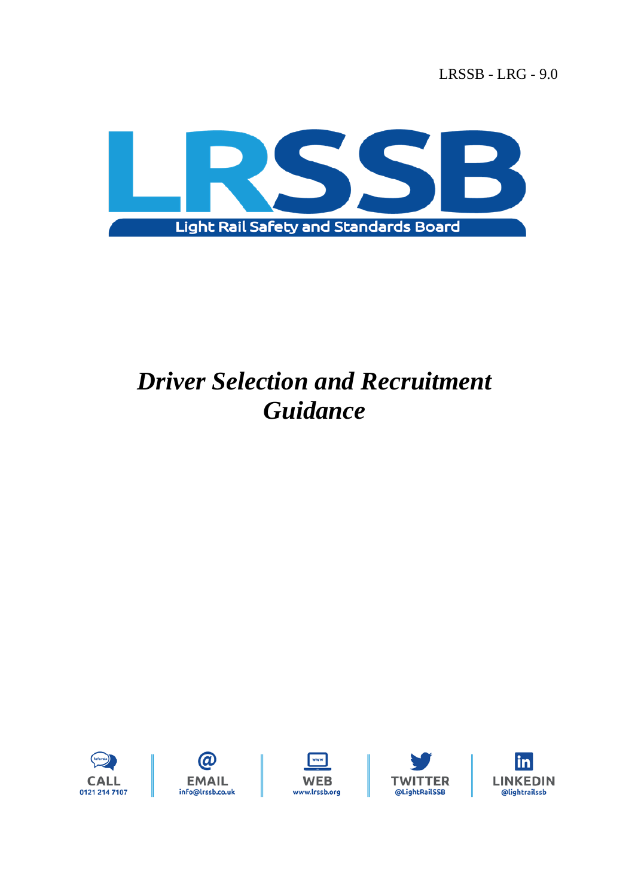LRSSB - LRG - 9.0



# *Driver Selection and Recruitment Guidance*









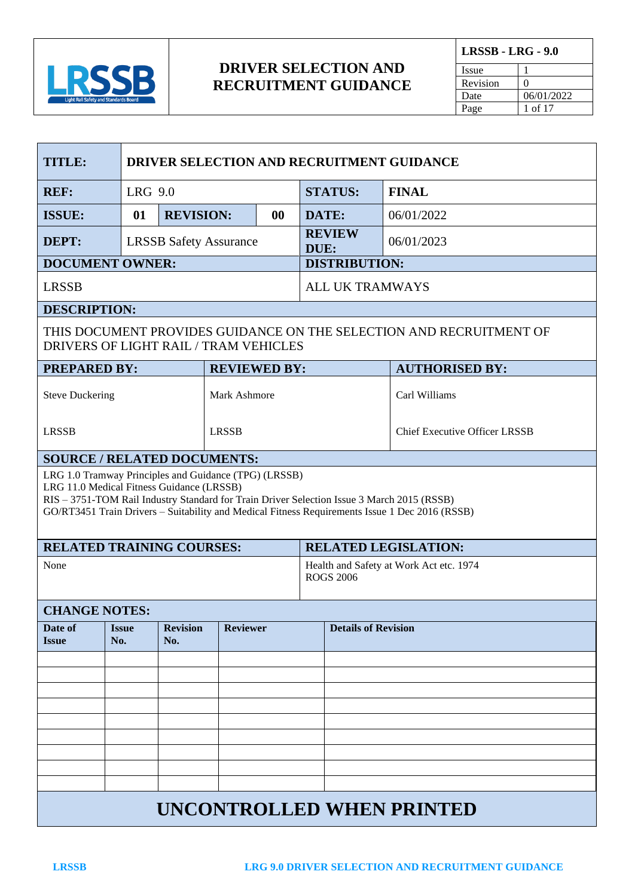

**LRSSB - LRG - 9.0** Issue 1 Revision 0 Date 06/01/2022

Page 1 of 17

| DRIVER SELECTION AND RECRUITMENT GUIDANCE<br>TITLE:                                                                                                                                                                                                                                                |                                   |                               |                               |  |                            |                        |                                         |
|----------------------------------------------------------------------------------------------------------------------------------------------------------------------------------------------------------------------------------------------------------------------------------------------------|-----------------------------------|-------------------------------|-------------------------------|--|----------------------------|------------------------|-----------------------------------------|
| <b>REF:</b>                                                                                                                                                                                                                                                                                        |                                   | LRG 9.0                       |                               |  |                            | <b>STATUS:</b>         | <b>FINAL</b>                            |
| <b>ISSUE:</b>                                                                                                                                                                                                                                                                                      | 01                                | <b>REVISION:</b><br>$\bf{00}$ |                               |  | DATE:                      |                        | 06/01/2022                              |
| DEPT:                                                                                                                                                                                                                                                                                              |                                   |                               | <b>LRSSB Safety Assurance</b> |  | DUE:                       | <b>REVIEW</b>          | 06/01/2023                              |
| <b>DOCUMENT OWNER:</b>                                                                                                                                                                                                                                                                             |                                   |                               |                               |  |                            | <b>DISTRIBUTION:</b>   |                                         |
| <b>LRSSB</b>                                                                                                                                                                                                                                                                                       |                                   |                               |                               |  |                            | <b>ALL UK TRAMWAYS</b> |                                         |
| <b>DESCRIPTION:</b>                                                                                                                                                                                                                                                                                |                                   |                               |                               |  |                            |                        |                                         |
| THIS DOCUMENT PROVIDES GUIDANCE ON THE SELECTION AND RECRUITMENT OF<br>DRIVERS OF LIGHT RAIL / TRAM VEHICLES                                                                                                                                                                                       |                                   |                               |                               |  |                            |                        |                                         |
| <b>PREPARED BY:</b>                                                                                                                                                                                                                                                                                |                                   |                               | <b>REVIEWED BY:</b>           |  |                            |                        | <b>AUTHORISED BY:</b>                   |
| <b>Steve Duckering</b>                                                                                                                                                                                                                                                                             | Mark Ashmore                      |                               |                               |  |                            | Carl Williams          |                                         |
| <b>LRSSB</b>                                                                                                                                                                                                                                                                                       |                                   |                               | <b>LRSSB</b>                  |  |                            |                        | <b>Chief Executive Officer LRSSB</b>    |
| <b>SOURCE / RELATED DOCUMENTS:</b>                                                                                                                                                                                                                                                                 |                                   |                               |                               |  |                            |                        |                                         |
| LRG 1.0 Tramway Principles and Guidance (TPG) (LRSSB)<br>LRG 11.0 Medical Fitness Guidance (LRSSB)<br>RIS - 3751-TOM Rail Industry Standard for Train Driver Selection Issue 3 March 2015 (RSSB)<br>GO/RT3451 Train Drivers - Suitability and Medical Fitness Requirements Issue 1 Dec 2016 (RSSB) |                                   |                               |                               |  |                            |                        |                                         |
| <b>RELATED TRAINING COURSES:</b>                                                                                                                                                                                                                                                                   |                                   |                               |                               |  |                            |                        | <b>RELATED LEGISLATION:</b>             |
| None                                                                                                                                                                                                                                                                                               |                                   |                               |                               |  |                            | <b>ROGS 2006</b>       | Health and Safety at Work Act etc. 1974 |
| <b>CHANGE NOTES:</b>                                                                                                                                                                                                                                                                               |                                   |                               |                               |  |                            |                        |                                         |
| Date of<br><i><b>Issue</b></i>                                                                                                                                                                                                                                                                     | <i><u><b>Issue</b></u></i><br>No. | <b>Revision</b><br>No.        | <b>Reviewer</b>               |  | <b>Details of Revision</b> |                        |                                         |
|                                                                                                                                                                                                                                                                                                    |                                   |                               |                               |  |                            |                        |                                         |
|                                                                                                                                                                                                                                                                                                    |                                   |                               |                               |  |                            |                        |                                         |
|                                                                                                                                                                                                                                                                                                    |                                   |                               |                               |  |                            |                        |                                         |
|                                                                                                                                                                                                                                                                                                    |                                   |                               |                               |  |                            |                        |                                         |
|                                                                                                                                                                                                                                                                                                    |                                   |                               |                               |  |                            |                        |                                         |
|                                                                                                                                                                                                                                                                                                    |                                   |                               |                               |  |                            |                        |                                         |
|                                                                                                                                                                                                                                                                                                    |                                   |                               |                               |  |                            |                        |                                         |
| <b>UNCONTROLLED WHEN PRINTED</b>                                                                                                                                                                                                                                                                   |                                   |                               |                               |  |                            |                        |                                         |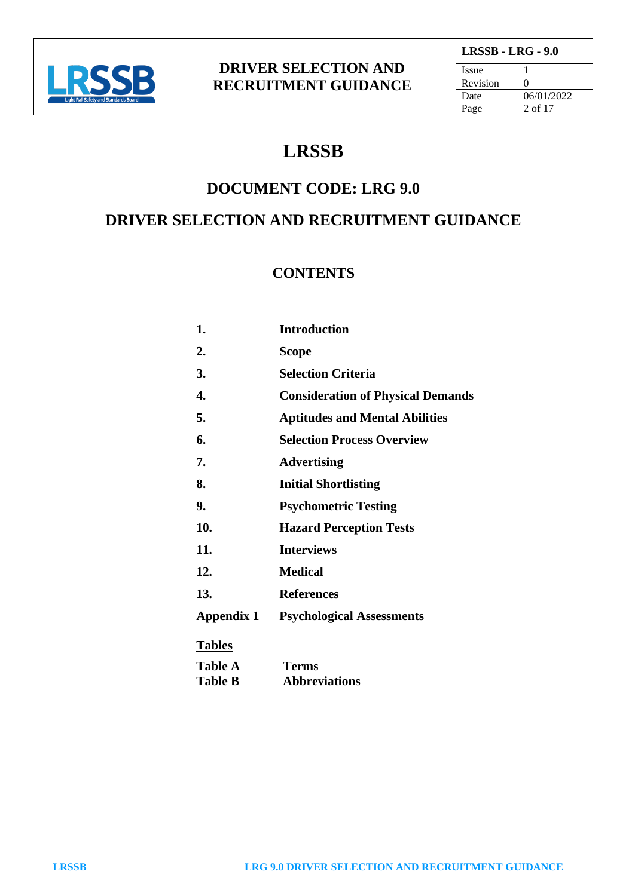

| <b>LRSSB - LRG - 9.0</b> |            |  |  |
|--------------------------|------------|--|--|
| <i>Issue</i>             |            |  |  |
| Revision                 | 0          |  |  |
| Date                     | 06/01/2022 |  |  |
| Page                     | 2 of 17    |  |  |

## **LRSSB**

## **DOCUMENT CODE: LRG 9.0**

## **DRIVER SELECTION AND RECRUITMENT GUIDANCE**

#### **CONTENTS**

| 1.                | <b>Introduction</b>                      |
|-------------------|------------------------------------------|
| 2.                | Scope                                    |
| 3.                | <b>Selection Criteria</b>                |
| 4.                | <b>Consideration of Physical Demands</b> |
| 5.                | <b>Aptitudes and Mental Abilities</b>    |
| 6.                | <b>Selection Process Overview</b>        |
| 7.                | <b>Advertising</b>                       |
| 8.                | <b>Initial Shortlisting</b>              |
| 9.                | <b>Psychometric Testing</b>              |
| 10.               | <b>Hazard Perception Tests</b>           |
| 11.               | <b>Interviews</b>                        |
| 12.               | <b>Medical</b>                           |
| 13.               | <b>References</b>                        |
| <b>Appendix 1</b> | <b>Psychological Assessments</b>         |
| <b>Tables</b>     |                                          |
| <b>Table A</b>    | Terms                                    |
| <b>Table B</b>    | <b>Abbreviations</b>                     |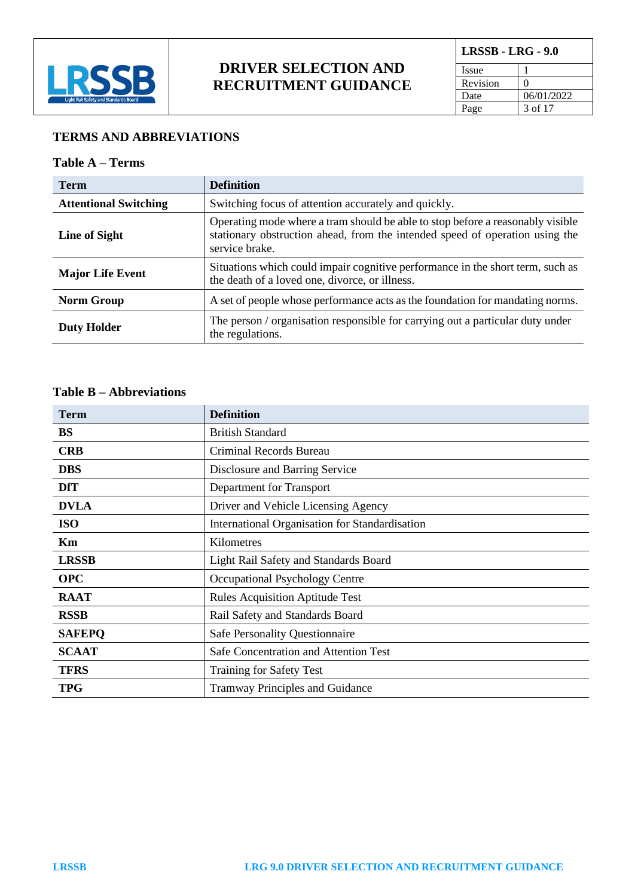

| <b>LRSSB - LRG - 9.0</b> |            |  |
|--------------------------|------------|--|
| Issue                    |            |  |
| Revision                 |            |  |
| Date                     | 06/01/2022 |  |
| Page                     | 3 of 17    |  |

#### **TERMS AND ABBREVIATIONS**

#### **Table A – Terms**

| <b>Term</b>                  | <b>Definition</b>                                                                                                                                                                |
|------------------------------|----------------------------------------------------------------------------------------------------------------------------------------------------------------------------------|
| <b>Attentional Switching</b> | Switching focus of attention accurately and quickly.                                                                                                                             |
| Line of Sight                | Operating mode where a tram should be able to stop before a reasonably visible<br>stationary obstruction ahead, from the intended speed of operation using the<br>service brake. |
| <b>Major Life Event</b>      | Situations which could impair cognitive performance in the short term, such as<br>the death of a loved one, divorce, or illness.                                                 |
| <b>Norm Group</b>            | A set of people whose performance acts as the foundation for mandating norms.                                                                                                    |
| <b>Duty Holder</b>           | The person / organisation responsible for carrying out a particular duty under<br>the regulations.                                                                               |

#### **Table B – Abbreviations**

| <b>Term</b>   | <b>Definition</b>                              |  |
|---------------|------------------------------------------------|--|
| <b>BS</b>     | <b>British Standard</b>                        |  |
| <b>CRB</b>    | Criminal Records Bureau                        |  |
| <b>DBS</b>    | Disclosure and Barring Service                 |  |
| <b>DfT</b>    | Department for Transport                       |  |
| <b>DVLA</b>   | Driver and Vehicle Licensing Agency            |  |
| <b>ISO</b>    | International Organisation for Standardisation |  |
| Km            | Kilometres                                     |  |
| <b>LRSSB</b>  | Light Rail Safety and Standards Board          |  |
| <b>OPC</b>    | Occupational Psychology Centre                 |  |
| <b>RAAT</b>   | <b>Rules Acquisition Aptitude Test</b>         |  |
| <b>RSSB</b>   | Rail Safety and Standards Board                |  |
| <b>SAFEPQ</b> | <b>Safe Personality Questionnaire</b>          |  |
| <b>SCAAT</b>  | Safe Concentration and Attention Test          |  |
| <b>TFRS</b>   | <b>Training for Safety Test</b>                |  |
| <b>TPG</b>    | <b>Tramway Principles and Guidance</b>         |  |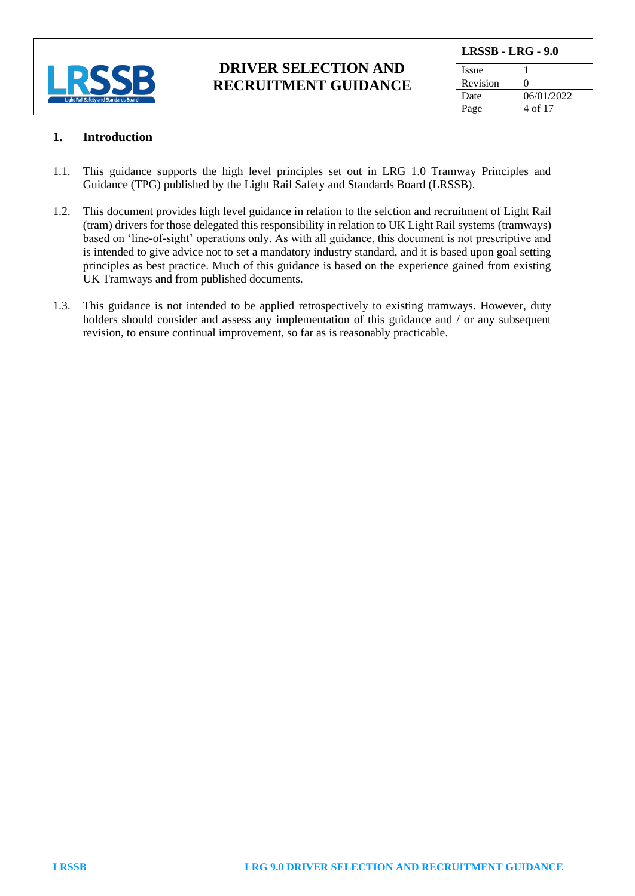

| <b>LRSSB - LRG - 9.0</b> |                   |  |
|--------------------------|-------------------|--|
| Issue                    |                   |  |
| Revision                 | $\mathbf{\Omega}$ |  |
| Date                     | 06/01/2022        |  |
| Page                     | 4 of 17           |  |

#### **1. Introduction**

- 1.1. This guidance supports the high level principles set out in LRG 1.0 Tramway Principles and Guidance (TPG) published by the Light Rail Safety and Standards Board (LRSSB).
- 1.2. This document provides high level guidance in relation to the selction and recruitment of Light Rail (tram) drivers for those delegated this responsibility in relation to UK Light Rail systems (tramways) based on 'line-of-sight' operations only. As with all guidance, this document is not prescriptive and is intended to give advice not to set a mandatory industry standard, and it is based upon goal setting principles as best practice. Much of this guidance is based on the experience gained from existing UK Tramways and from published documents.
- 1.3. This guidance is not intended to be applied retrospectively to existing tramways. However, duty holders should consider and assess any implementation of this guidance and / or any subsequent revision, to ensure continual improvement, so far as is reasonably practicable.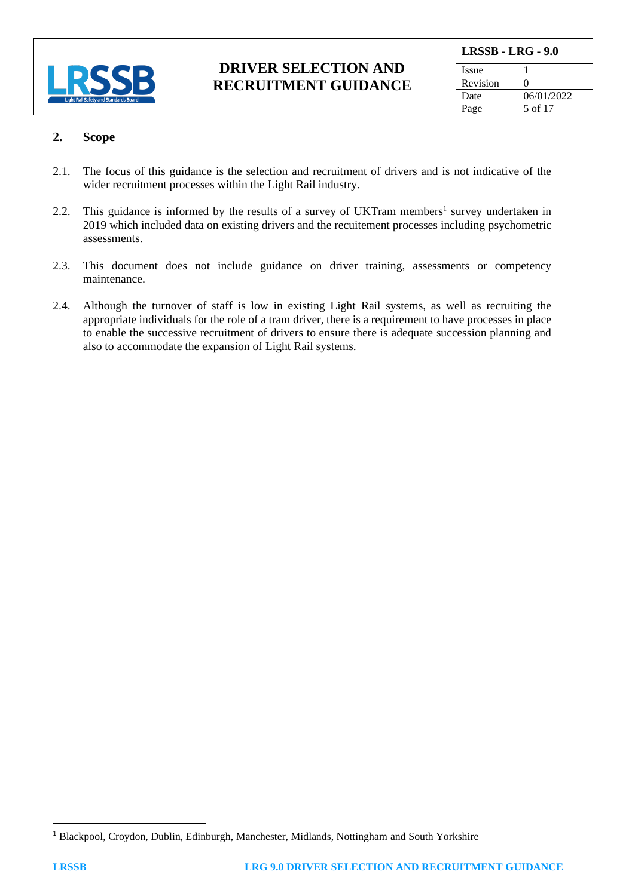

| LRSSB - LRG - 9.0 |            |  |
|-------------------|------------|--|
| Issue             |            |  |
| Revision          | 0          |  |
| Date              | 06/01/2022 |  |
| Page              | 5 of 17    |  |

#### **2. Scope**

- 2.1. The focus of this guidance is the selection and recruitment of drivers and is not indicative of the wider recruitment processes within the Light Rail industry.
- 2.2. This guidance is informed by the results of a survey of UKTram members<sup>1</sup> survey undertaken in 2019 which included data on existing drivers and the recuitement processes including psychometric assessments.
- 2.3. This document does not include guidance on driver training, assessments or competency maintenance.
- 2.4. Although the turnover of staff is low in existing Light Rail systems, as well as recruiting the appropriate individuals for the role of a tram driver, there is a requirement to have processes in place to enable the successive recruitment of drivers to ensure there is adequate succession planning and also to accommodate the expansion of Light Rail systems.

<sup>1</sup> Blackpool, Croydon, Dublin, Edinburgh, Manchester, Midlands, Nottingham and South Yorkshire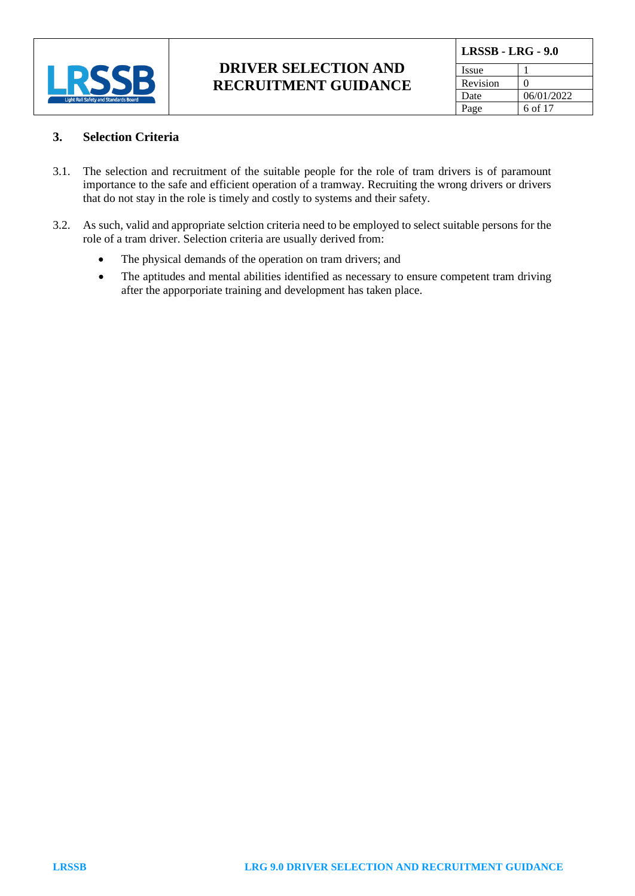

| <b>LRSSB - LRG - 9.0</b> |                   |  |
|--------------------------|-------------------|--|
| Issue                    |                   |  |
| Revision                 | $\mathbf{\Omega}$ |  |
| Date                     | 06/01/2022        |  |
| Page                     | 6 of 17           |  |

#### **3. Selection Criteria**

- 3.1. The selection and recruitment of the suitable people for the role of tram drivers is of paramount importance to the safe and efficient operation of a tramway. Recruiting the wrong drivers or drivers that do not stay in the role is timely and costly to systems and their safety.
- 3.2. As such, valid and appropriate selction criteria need to be employed to select suitable persons for the role of a tram driver. Selection criteria are usually derived from:
	- The physical demands of the operation on tram drivers; and
	- The aptitudes and mental abilities identified as necessary to ensure competent tram driving after the apporporiate training and development has taken place.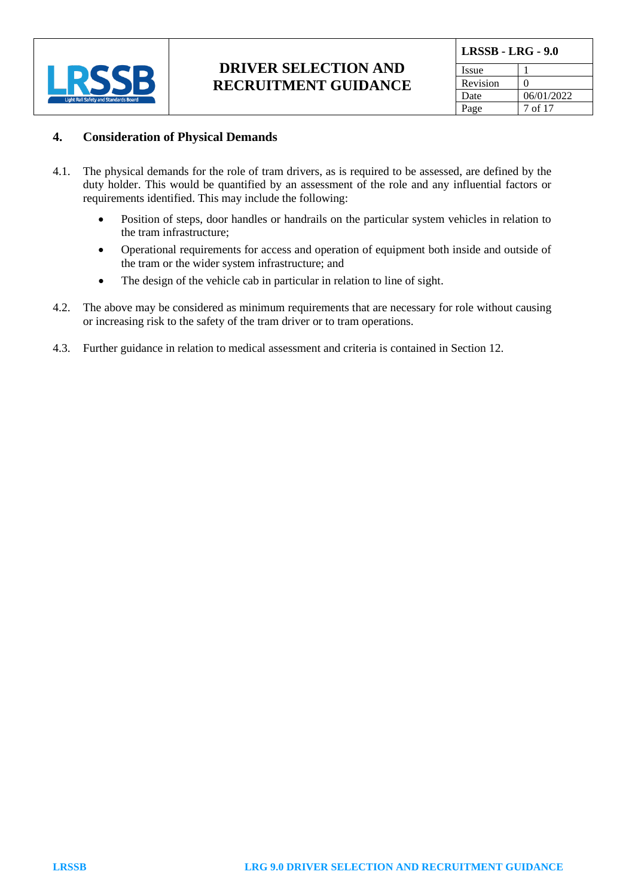

| <b>LRSSB - LRG - 9.0</b> |                   |  |
|--------------------------|-------------------|--|
| Issue                    |                   |  |
| Revision                 | $\mathbf{\Omega}$ |  |
| Date                     | 06/01/2022        |  |
| Page                     | 7 of 17           |  |

#### **4. Consideration of Physical Demands**

- 4.1. The physical demands for the role of tram drivers, as is required to be assessed, are defined by the duty holder. This would be quantified by an assessment of the role and any influential factors or requirements identified. This may include the following:
	- Position of steps, door handles or handrails on the particular system vehicles in relation to the tram infrastructure;
	- Operational requirements for access and operation of equipment both inside and outside of the tram or the wider system infrastructure; and
	- The design of the vehicle cab in particular in relation to line of sight.
- 4.2. The above may be considered as minimum requirements that are necessary for role without causing or increasing risk to the safety of the tram driver or to tram operations.
- 4.3. Further guidance in relation to medical assessment and criteria is contained in Section 12.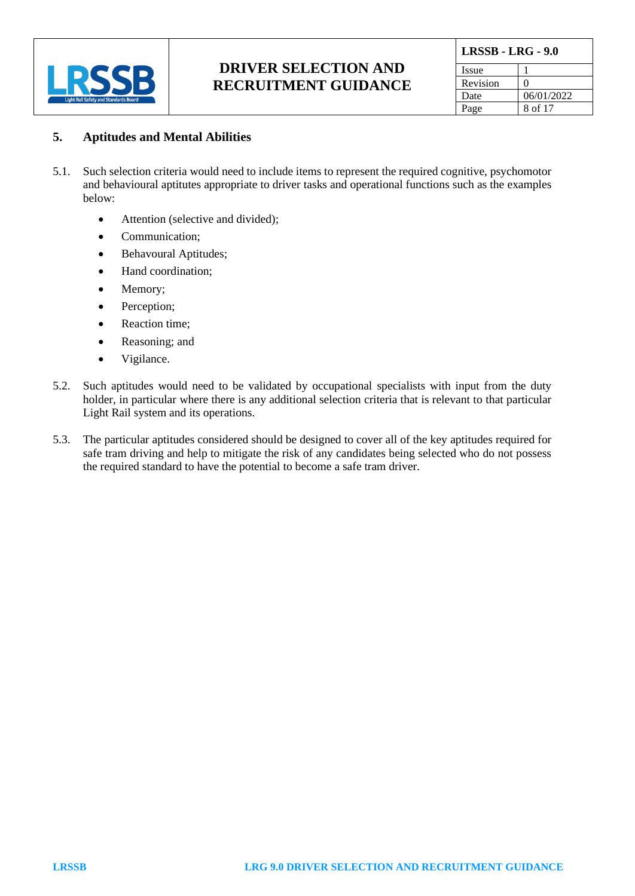

| <b>LRSSB - LRG - 9.0</b> |            |  |
|--------------------------|------------|--|
| Issue                    |            |  |
| Revision                 | 0          |  |
| Date                     | 06/01/2022 |  |
| Page                     | 8 of 17    |  |

#### **5. Aptitudes and Mental Abilities**

- 5.1. Such selection criteria would need to include items to represent the required cognitive, psychomotor and behavioural aptitutes appropriate to driver tasks and operational functions such as the examples below:
	- Attention (selective and divided);
	- Communication;
	- Behavoural Aptitudes;
	- Hand coordination;
	- Memory;
	- Perception;
	- Reaction time;
	- Reasoning; and
	- Vigilance.
- 5.2. Such aptitudes would need to be validated by occupational specialists with input from the duty holder, in particular where there is any additional selection criteria that is relevant to that particular Light Rail system and its operations.
- 5.3. The particular aptitudes considered should be designed to cover all of the key aptitudes required for safe tram driving and help to mitigate the risk of any candidates being selected who do not possess the required standard to have the potential to become a safe tram driver.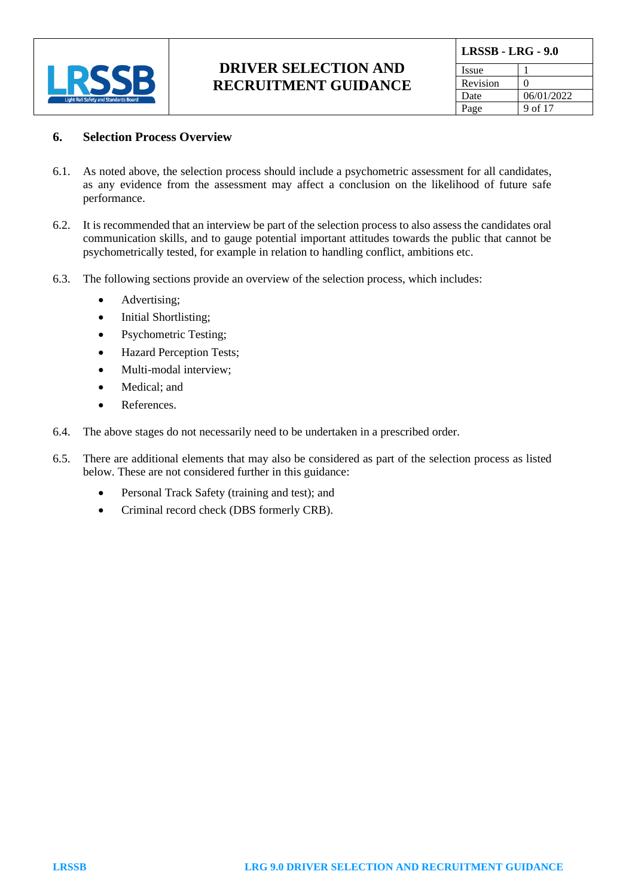

| <b>LRSSB - LRG - 9.0</b> |                   |  |
|--------------------------|-------------------|--|
| <b>Issue</b>             |                   |  |
| Revision                 | $\mathbf{\Omega}$ |  |
| Date                     | 06/01/2022        |  |
| Page                     | 9 of 17           |  |

#### **6. Selection Process Overview**

- 6.1. As noted above, the selection process should include a psychometric assessment for all candidates, as any evidence from the assessment may affect a conclusion on the likelihood of future safe performance.
- 6.2. It is recommended that an interview be part of the selection process to also assess the candidates oral communication skills, and to gauge potential important attitudes towards the public that cannot be psychometrically tested, for example in relation to handling conflict, ambitions etc.
- 6.3. The following sections provide an overview of the selection process, which includes:
	- Advertising:
	- Initial Shortlisting;
	- Psychometric Testing;
	- Hazard Perception Tests;
	- Multi-modal interview;
	- Medical; and
	- References
- 6.4. The above stages do not necessarily need to be undertaken in a prescribed order.
- 6.5. There are additional elements that may also be considered as part of the selection process as listed below. These are not considered further in this guidance:
	- Personal Track Safety (training and test); and
	- Criminal record check (DBS formerly CRB).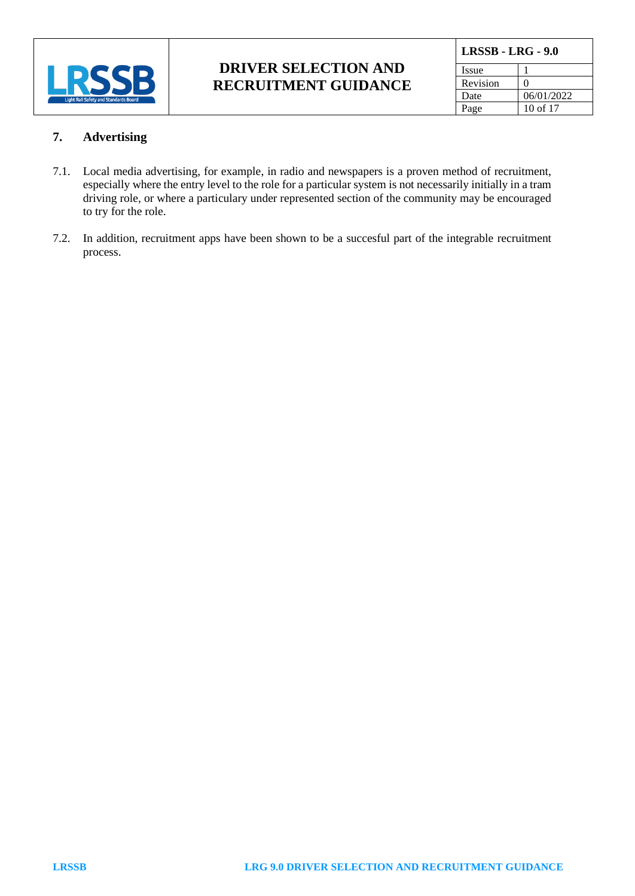

| <b>LRSSB - LRG - 9.0</b> |                   |
|--------------------------|-------------------|
| Issue                    |                   |
| Revision                 | $\mathbf{\Omega}$ |
| Date                     | 06/01/2022        |
| Page                     | 10 of $17$        |

#### **7. Advertising**

- 7.1. Local media advertising, for example, in radio and newspapers is a proven method of recruitment, especially where the entry level to the role for a particular system is not necessarily initially in a tram driving role, or where a particulary under represented section of the community may be encouraged to try for the role.
- 7.2. In addition, recruitment apps have been shown to be a succesful part of the integrable recruitment process.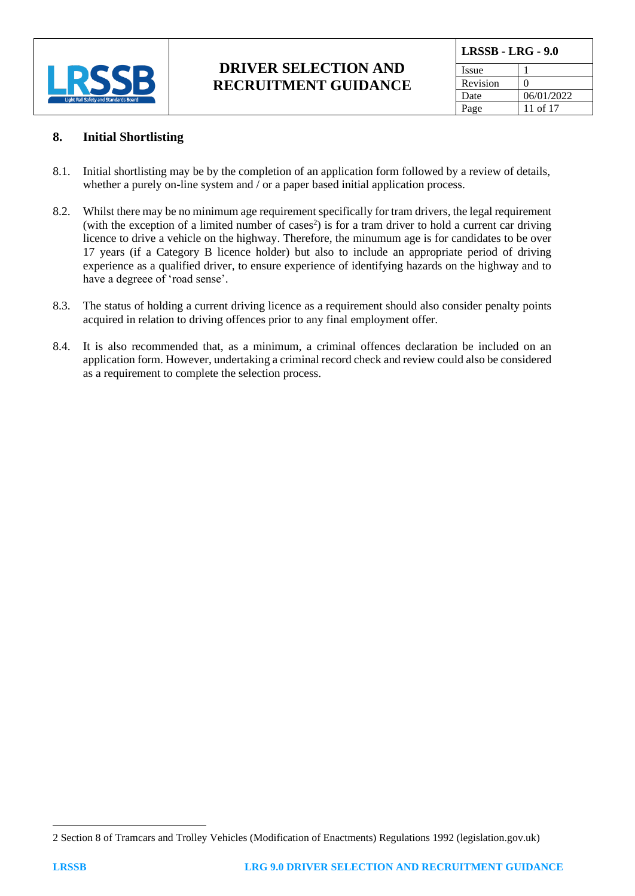

| <b>LRSSB - LRG - 9.0</b> |            |
|--------------------------|------------|
| Issue                    |            |
| Revision                 |            |
| Date                     | 06/01/2022 |
| Page                     | 11 of 17   |

#### **8. Initial Shortlisting**

- 8.1. Initial shortlisting may be by the completion of an application form followed by a review of details, whether a purely on-line system and / or a paper based initial application process.
- 8.2. Whilst there may be no minimum age requirement specifically for tram drivers, the legal requirement (with the exception of a limited number of cases<sup>2</sup>) is for a tram driver to hold a current car driving licence to drive a vehicle on the highway. Therefore, the minumum age is for candidates to be over 17 years (if a Category B licence holder) but also to include an appropriate period of driving experience as a qualified driver, to ensure experience of identifying hazards on the highway and to have a degreee of 'road sense'.
- 8.3. The status of holding a current driving licence as a requirement should also consider penalty points acquired in relation to driving offences prior to any final employment offer.
- 8.4. It is also recommended that, as a minimum, a criminal offences declaration be included on an application form. However, undertaking a criminal record check and review could also be considered as a requirement to complete the selection process.

<sup>2</sup> Section 8 of [Tramcars and Trolley Vehicles \(Modification of Enactments\) Regulations 1992 \(legislation.gov.uk\)](https://www.legislation.gov.uk/uksi/1992/1217/made)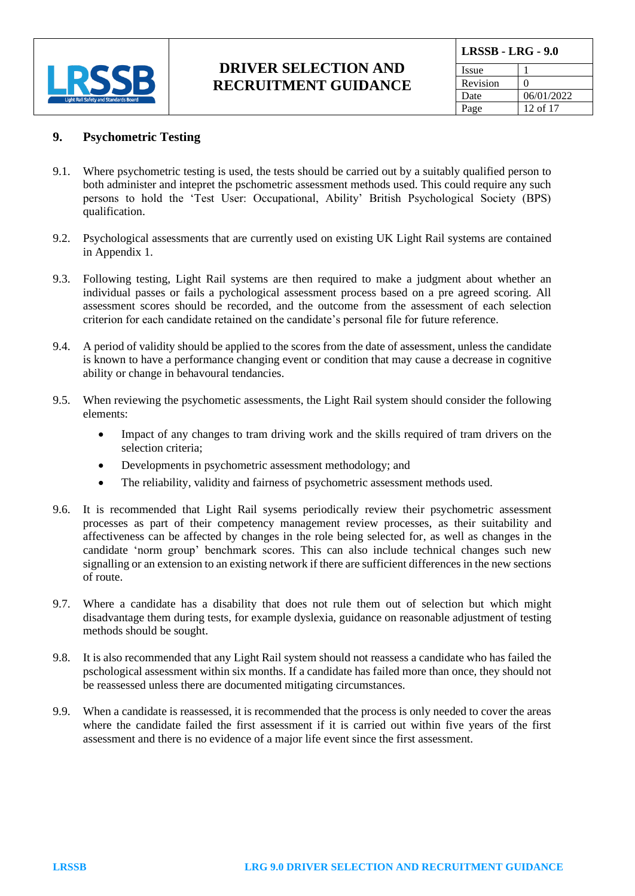

| <b>LRSSB - LRG - 9.0</b> |            |
|--------------------------|------------|
| Issue                    |            |
| Revision                 | $\theta$   |
| Date                     | 06/01/2022 |
| Page                     | 12 of $17$ |

#### **9. Psychometric Testing**

- 9.1. Where psychometric testing is used, the tests should be carried out by a suitably qualified person to both administer and intepret the pschometric assessment methods used. This could require any such persons to hold the 'Test User: Occupational, Ability' British Psychological Society (BPS) qualification.
- 9.2. Psychological assessments that are currently used on existing UK Light Rail systems are contained in Appendix 1.
- 9.3. Following testing, Light Rail systems are then required to make a judgment about whether an individual passes or fails a pychological assessment process based on a pre agreed scoring. All assessment scores should be recorded, and the outcome from the assessment of each selection criterion for each candidate retained on the candidate's personal file for future reference.
- 9.4. A period of validity should be applied to the scores from the date of assessment, unless the candidate is known to have a performance changing event or condition that may cause a decrease in cognitive ability or change in behavoural tendancies.
- 9.5. When reviewing the psychometic assessments, the Light Rail system should consider the following elements:
	- Impact of any changes to tram driving work and the skills required of tram drivers on the selection criteria;
	- Developments in psychometric assessment methodology; and
	- The reliability, validity and fairness of psychometric assessment methods used.
- 9.6. It is recommended that Light Rail sysems periodically review their psychometric assessment processes as part of their competency management review processes, as their suitability and affectiveness can be affected by changes in the role being selected for, as well as changes in the candidate 'norm group' benchmark scores. This can also include technical changes such new signalling or an extension to an existing network if there are sufficient differences in the new sections of route.
- 9.7. Where a candidate has a disability that does not rule them out of selection but which might disadvantage them during tests, for example dyslexia, guidance on reasonable adjustment of testing methods should be sought.
- 9.8. It is also recommended that any Light Rail system should not reassess a candidate who has failed the pschological assessment within six months. If a candidate has failed more than once, they should not be reassessed unless there are documented mitigating circumstances.
- 9.9. When a candidate is reassessed, it is recommended that the process is only needed to cover the areas where the candidate failed the first assessment if it is carried out within five years of the first assessment and there is no evidence of a major life event since the first assessment.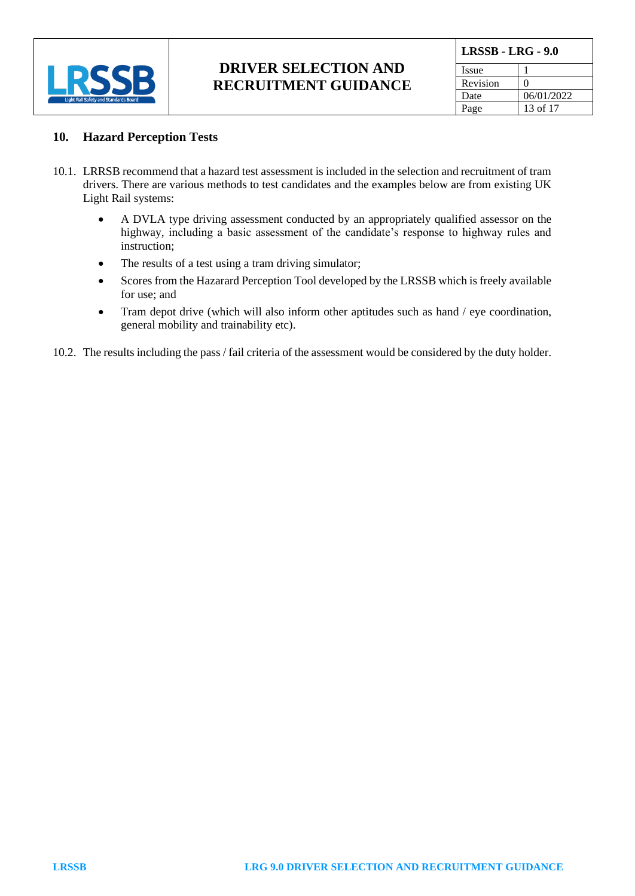

| <b>LRSSB - LRG - 9.0</b> |            |
|--------------------------|------------|
| Issue                    |            |
| Revision                 |            |
| Date                     | 06/01/2022 |
| Page                     | 13 of 17   |

#### **10. Hazard Perception Tests**

- 10.1. LRRSB recommend that a hazard test assessment is included in the selection and recruitment of tram drivers. There are various methods to test candidates and the examples below are from existing UK Light Rail systems:
	- A DVLA type driving assessment conducted by an appropriately qualified assessor on the highway, including a basic assessment of the candidate's response to highway rules and instruction;
	- The results of a test using a tram driving simulator;
	- Scores from the Hazarard Perception Tool developed by the LRSSB which is freely available for use; and
	- Tram depot drive (which will also inform other aptitudes such as hand / eye coordination, general mobility and trainability etc).
- 10.2. The results including the pass / fail criteria of the assessment would be considered by the duty holder.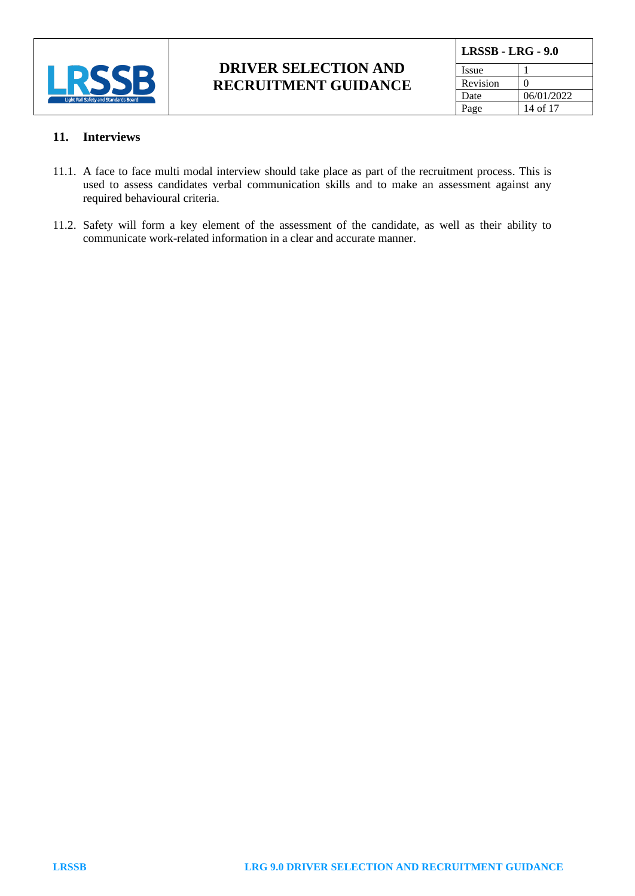

| LRSSB - LRG - 9.0 |            |
|-------------------|------------|
| Issue             |            |
| Revision          | 0          |
| Date              | 06/01/2022 |
| Page              | 14 of 17   |

#### **11. Interviews**

- 11.1. A face to face multi modal interview should take place as part of the recruitment process. This is used to assess candidates verbal communication skills and to make an assessment against any required behavioural criteria.
- 11.2. Safety will form a key element of the assessment of the candidate, as well as their ability to communicate work-related information in a clear and accurate manner.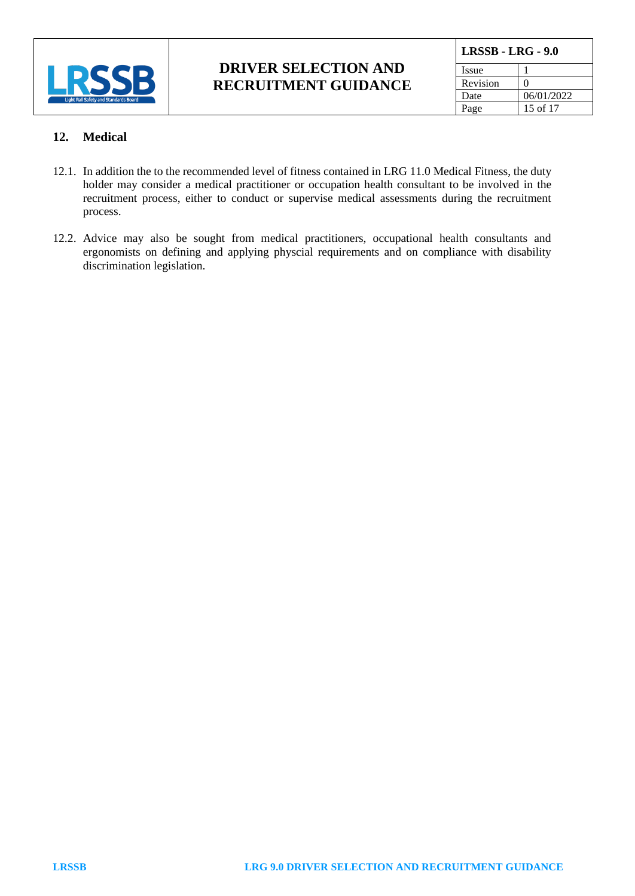

| <b>LRSSB - LRG - 9.0</b> |                   |
|--------------------------|-------------------|
| Issue                    |                   |
| Revision                 | $\mathbf{\Omega}$ |
| Date                     | 06/01/2022        |
| Page                     | 15 of 17          |

#### **12. Medical**

- 12.1. In addition the to the recommended level of fitness contained in LRG 11.0 Medical Fitness, the duty holder may consider a medical practitioner or occupation health consultant to be involved in the recruitment process, either to conduct or supervise medical assessments during the recruitment process.
- 12.2. Advice may also be sought from medical practitioners, occupational health consultants and ergonomists on defining and applying physcial requirements and on compliance with disability discrimination legislation.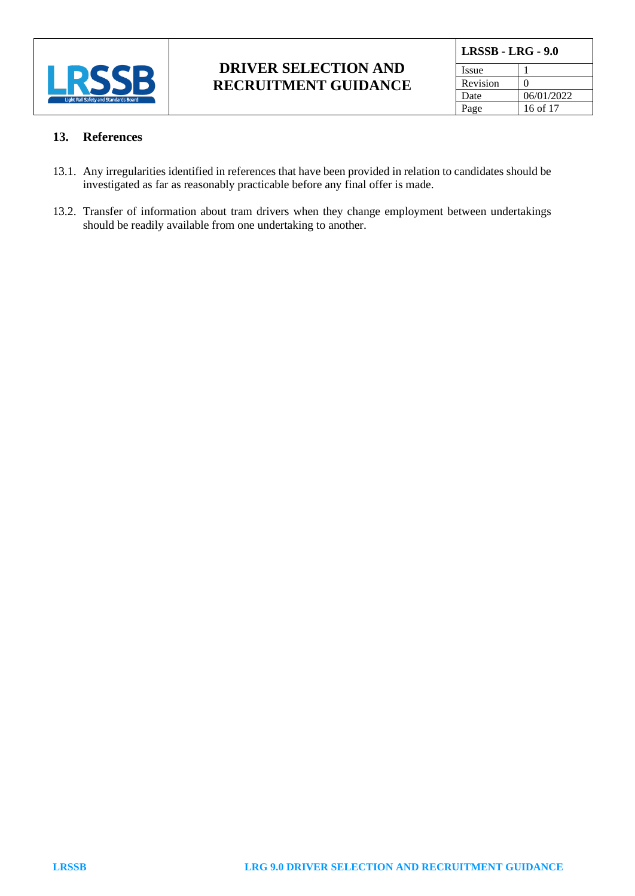

| <b>LRSSB - LRG - 9.0</b> |            |
|--------------------------|------------|
| <b>Issue</b>             |            |
| Revision                 |            |
| Date                     | 06/01/2022 |
| Page                     | 16 of 17   |

#### **13. References**

- 13.1. Any irregularities identified in references that have been provided in relation to candidates should be investigated as far as reasonably practicable before any final offer is made.
- 13.2. Transfer of information about tram drivers when they change employment between undertakings should be readily available from one undertaking to another.